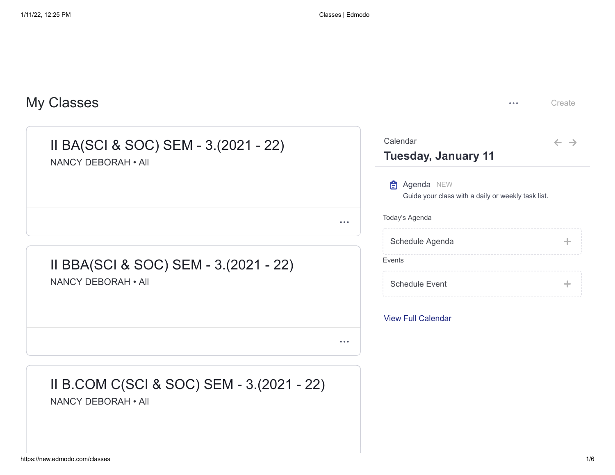| <b>My Classes</b>                                                           | Create<br>$- - -$                                                       |
|-----------------------------------------------------------------------------|-------------------------------------------------------------------------|
| II BA(SCI & SOC) SEM - 3.(2021 - 22)<br>NANCY DEBORAH . All                 | Calendar<br>$\leftarrow$ $\rightarrow$<br><b>Tuesday, January 11</b>    |
|                                                                             | <b>Agenda NEW</b><br>Guide your class with a daily or weekly task list. |
| $\bullet\bullet\bullet$                                                     | Today's Agenda                                                          |
|                                                                             | Schedule Agenda<br>$\div$                                               |
| II BBA(SCI & SOC) SEM - 3.(2021 - 22)                                       | Events                                                                  |
| NANCY DEBORAH . All                                                         | <b>Schedule Event</b><br>÷                                              |
|                                                                             | <b>View Full Calendar</b>                                               |
| $\bullet\hspace{0.1cm} \bullet\hspace{0.1cm} \bullet\hspace{0.1cm} \bullet$ |                                                                         |
| II B.COM C(SCI & SOC) SEM - 3.(2021 - 22)<br>NANCY DEBORAH . All            |                                                                         |
|                                                                             |                                                                         |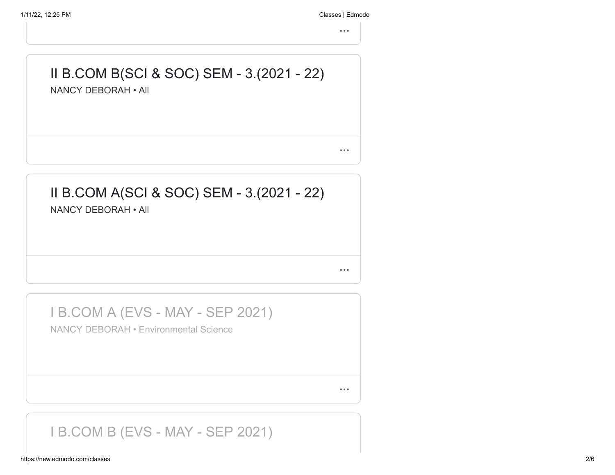1/11/22, 12:25 PM Classes | Edmodo

 $\ddot{\bullet}$ 

# II B.COM B(SCI & SOC) SEM - 3.(2021 - 22) NANCY DEBORAH • All

 $\bullet$   $\bullet$   $\bullet$ 

#### II B.COM A(SCI & SOC) SEM - 3.(2021 - 22) NANCY DEBORAH • All

 $\bullet$   $\bullet$   $\bullet$ 

I B.COM A (EVS - MAY - SEP 2021)

NANCY DEBORAH • Environmental Science

 $\bullet$   $\bullet$   $\bullet$ 

#### I B.COM B (EVS - MAY - SEP 2021)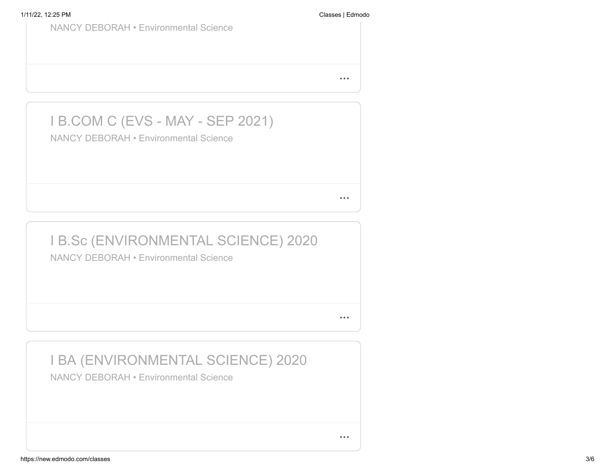| <b>NANCY DEBORAH • Environmental Science</b>                                               |  |
|--------------------------------------------------------------------------------------------|--|
|                                                                                            |  |
| <b>I B.COM C (EVS - MAY - SEP 2021)</b><br><b>NANCY DEBORAH • Environmental Science</b>    |  |
|                                                                                            |  |
| <b>I B.Sc (ENVIRONMENTAL SCIENCE) 2020</b><br><b>NANCY DEBORAH • Environmental Science</b> |  |

# I BA (ENVIRONMENTAL SCIENCE) 2020

NANCY DEBORAH • Environmental Science

 $\bullet$   $\bullet$   $\bullet$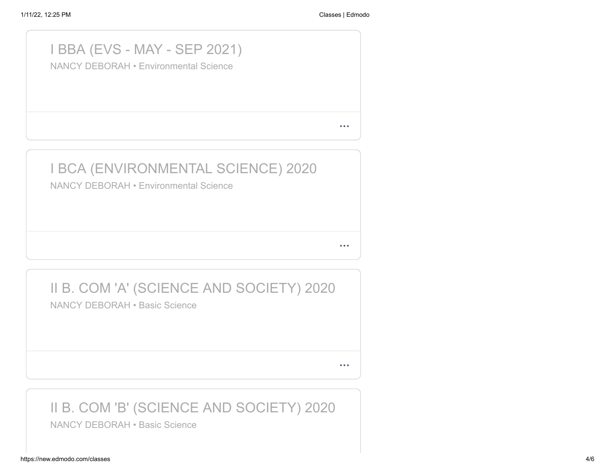#### I BBA (EVS - MAY - SEP 2021)

NANCY DEBORAH • Environmental Science

 $\bullet$   $\bullet$   $\bullet$ 

 $\bullet$   $\bullet$   $\bullet$ 

 $\bullet$   $\bullet$   $\bullet$ 

# I BCA (ENVIRONMENTAL SCIENCE) 2020

NANCY DEBORAH • Environmental Science

# II B. COM 'A' (SCIENCE AND SOCIETY) 2020

NANCY DEBORAH • Basic Science

II B. COM 'B' (SCIENCE AND SOCIETY) 2020

NANCY DEBORAH • Basic Science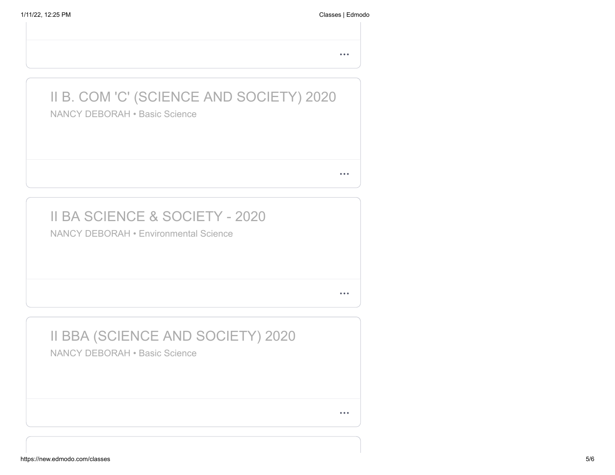$\bullet$   $\bullet$   $\bullet$ 

# II B. COM 'C' (SCIENCE AND SOCIETY) 2020

NANCY DEBORAH • Basic Science

 $\bullet$   $\bullet$   $\bullet$ 

### II BA SCIENCE & SOCIETY - 2020

NANCY DEBORAH • Environmental Science

 $\bullet$   $\bullet$   $\bullet$ 

#### II BBA (SCIENCE AND SOCIETY) 2020 NANCY DEBORAH • Basic Science

 $\bullet$   $\bullet$   $\bullet$